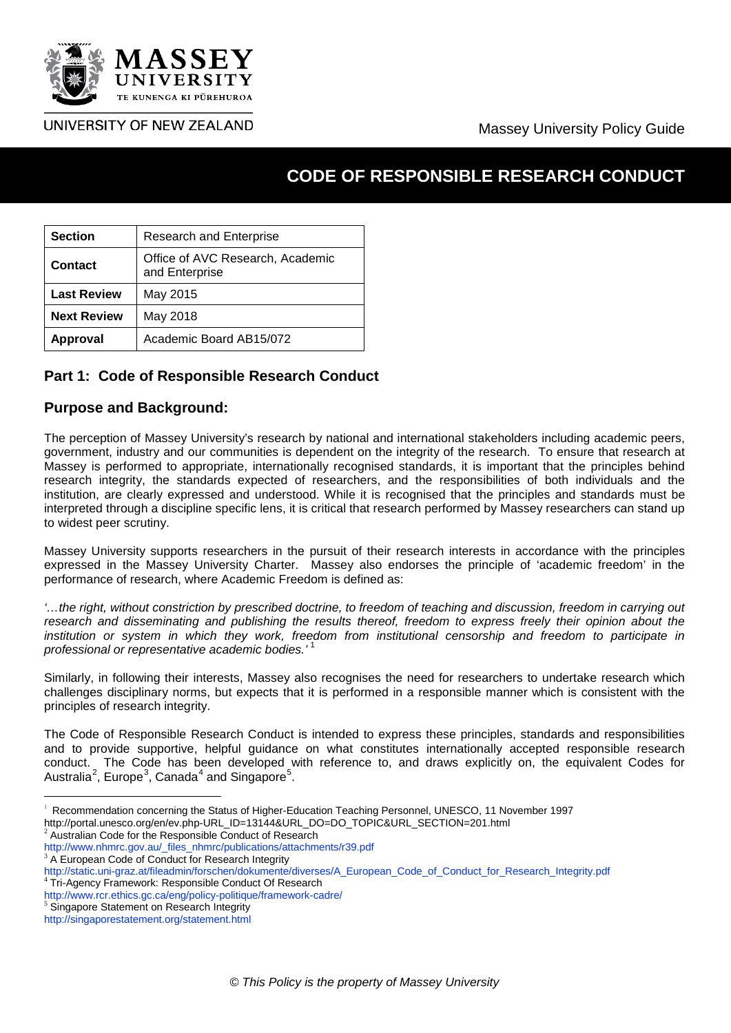

## Massey University Policy Guide

# **CODE OF RESPONSIBLE RESEARCH CONDUCT**

| <b>Section</b>     | <b>Research and Enterprise</b>                     |
|--------------------|----------------------------------------------------|
| Contact            | Office of AVC Research, Academic<br>and Enterprise |
| <b>Last Review</b> | May 2015                                           |
| <b>Next Review</b> | May 2018                                           |
| <b>Approval</b>    | Academic Board AB15/072                            |

## **Part 1: Code of Responsible Research Conduct**

#### **Purpose and Background:**

The perception of Massey University's research by national and international stakeholders including academic peers, government, industry and our communities is dependent on the integrity of the research. To ensure that research at Massey is performed to appropriate, internationally recognised standards, it is important that the principles behind research integrity, the standards expected of researchers, and the responsibilities of both individuals and the institution, are clearly expressed and understood. While it is recognised that the principles and standards must be interpreted through a discipline specific lens, it is critical that research performed by Massey researchers can stand up to widest peer scrutiny.

Massey University supports researchers in the pursuit of their research interests in accordance with the principles expressed in the Massey University Charter. Massey also endorses the principle of 'academic freedom' in the performance of research, where Academic Freedom is defined as:

*'…the right, without constriction by prescribed doctrine, to freedom of teaching and discussion, freedom in carrying out research and disseminating and publishing the results thereof, freedom to express freely their opinion about the institution or system in which they work, freedom from institutional censorship and freedom to participate in professional or representative academic bodies.'* [1](#page-0-0)

Similarly, in following their interests, Massey also recognises the need for researchers to undertake research which challenges disciplinary norms, but expects that it is performed in a responsible manner which is consistent with the principles of research integrity.

The Code of Responsible Research Conduct is intended to express these principles, standards and responsibilities and to provide supportive, helpful guidance on what constitutes internationally accepted responsible research conduct. The Code has been developed with reference to, and draws explicitly on, the equivalent Codes for Australia<sup>[2](#page-0-1)</sup>, Europe<sup>[3](#page-0-2)</sup>, Canada<sup>[4](#page-0-3)</sup> and Singapore<sup>[5](#page-0-4)</sup>.

<span id="page-0-1"></span>

<span id="page-0-0"></span> $\frac{1}{1}$ Recommendation concerning the Status of Higher-Education Teaching Personnel, UNESCO, 11 November 1997 http://portal.unesco.org/en/ev.php-URL\_ID=13144&URL\_DO=DO\_TOPIC&URL\_SECTION=201.html<sup>2</sup><br>Australian Code for the Responsible Conduct of Research<br>http://www.nhmrc.gov.au/\_files\_nhmrc/publications/attachments/r39.pdf

<span id="page-0-2"></span> $3$  A European Code of Conduct for Research Integrity

<span id="page-0-3"></span>[http://static.uni-graz.at/fileadmin/forschen/dokumente/diverses/A\\_European\\_Code\\_of\\_Conduct\\_for\\_Research\\_Integrity.pdf](http://static.uni-graz.at/fileadmin/forschen/dokumente/diverses/A_European_Code_of_Conduct_for_Research_Integrity.pdf)<br><sup>4</sup> Tri-Agency Framework: Responsible Conduct Of Research<br>http://www.rcr.ethics.gc.ca/eng/policy-politiq

<span id="page-0-4"></span> $5$  Singapore Statement on Research Integrity

<http://singaporestatement.org/statement.html>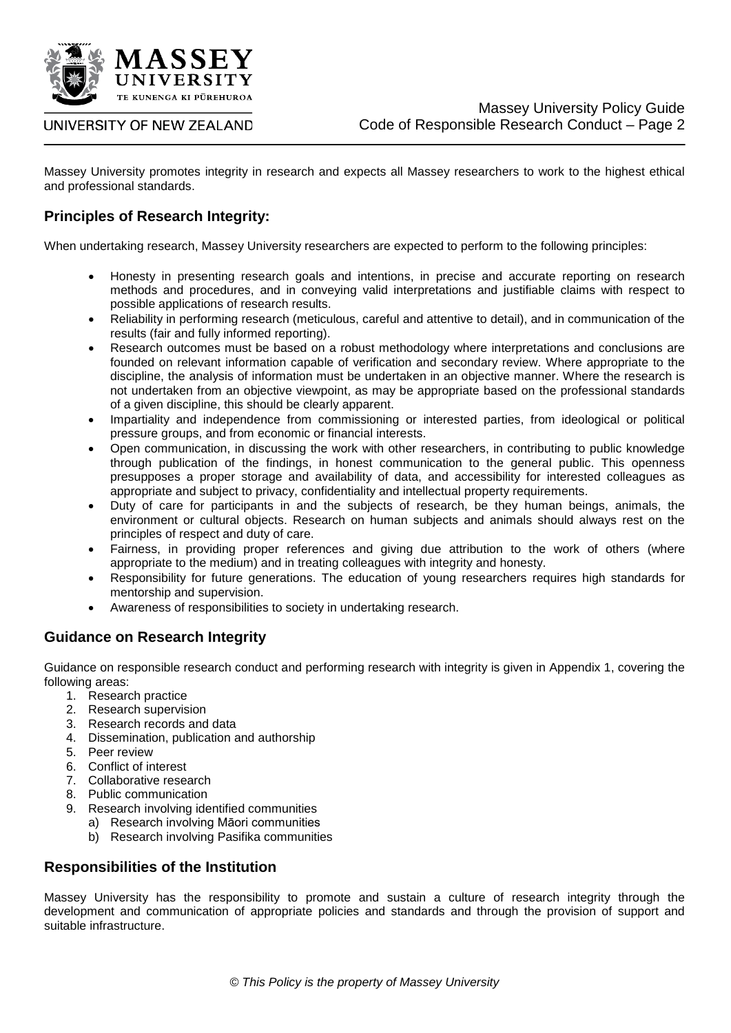

Massey University promotes integrity in research and expects all Massey researchers to work to the highest ethical and professional standards.

## **Principles of Research Integrity:**

When undertaking research, Massey University researchers are expected to perform to the following principles:

- Honesty in presenting research goals and intentions, in precise and accurate reporting on research methods and procedures, and in conveying valid interpretations and justifiable claims with respect to possible applications of research results.
- Reliability in performing research (meticulous, careful and attentive to detail), and in communication of the results (fair and fully informed reporting).
- Research outcomes must be based on a robust methodology where interpretations and conclusions are founded on relevant information capable of verification and secondary review. Where appropriate to the discipline, the analysis of information must be undertaken in an objective manner. Where the research is not undertaken from an objective viewpoint, as may be appropriate based on the professional standards of a given discipline, this should be clearly apparent.
- Impartiality and independence from commissioning or interested parties, from ideological or political pressure groups, and from economic or financial interests.
- Open communication, in discussing the work with other researchers, in contributing to public knowledge through publication of the findings, in honest communication to the general public. This openness presupposes a proper storage and availability of data, and accessibility for interested colleagues as appropriate and subject to privacy, confidentiality and intellectual property requirements.
- Duty of care for participants in and the subjects of research, be they human beings, animals, the environment or cultural objects. Research on human subjects and animals should always rest on the principles of respect and duty of care.
- Fairness, in providing proper references and giving due attribution to the work of others (where appropriate to the medium) and in treating colleagues with integrity and honesty.
- Responsibility for future generations. The education of young researchers requires high standards for mentorship and supervision.
- Awareness of responsibilities to society in undertaking research.

## **Guidance on Research Integrity**

Guidance on responsible research conduct and performing research with integrity is given in Appendix 1, covering the following areas:

- 1. Research practice
- 2. Research supervision
- 3. Research records and data
- 4. Dissemination, publication and authorship
- 5. Peer review
- 6. Conflict of interest
- 7. Collaborative research
- 8. Public communication
- 9. Research involving identified communities
	- a) Research involving Māori communities
	- b) Research involving Pasifika communities

## **Responsibilities of the Institution**

Massey University has the responsibility to promote and sustain a culture of research integrity through the development and communication of appropriate policies and standards and through the provision of support and suitable infrastructure.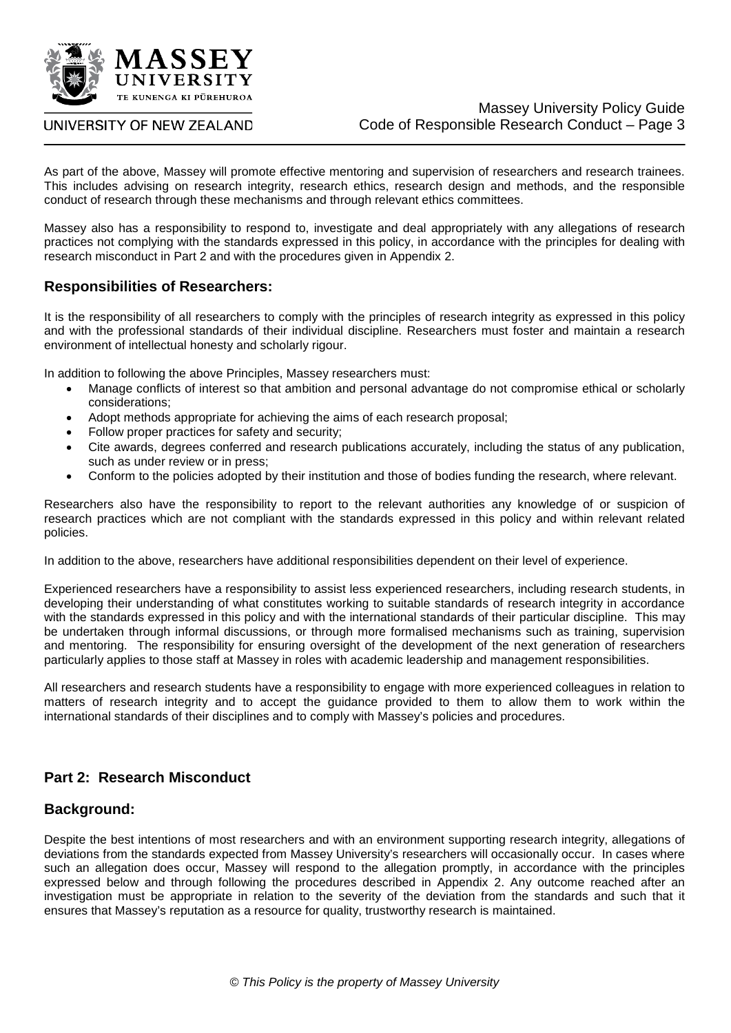

As part of the above, Massey will promote effective mentoring and supervision of researchers and research trainees. This includes advising on research integrity, research ethics, research design and methods, and the responsible conduct of research through these mechanisms and through relevant ethics committees.

Massey also has a responsibility to respond to, investigate and deal appropriately with any allegations of research practices not complying with the standards expressed in this policy, in accordance with the principles for dealing with research misconduct in Part 2 and with the procedures given in Appendix 2.

## **Responsibilities of Researchers:**

It is the responsibility of all researchers to comply with the principles of research integrity as expressed in this policy and with the professional standards of their individual discipline. Researchers must foster and maintain a research environment of intellectual honesty and scholarly rigour.

In addition to following the above Principles, Massey researchers must:

- Manage conflicts of interest so that ambition and personal advantage do not compromise ethical or scholarly considerations;
- Adopt methods appropriate for achieving the aims of each research proposal;
- Follow proper practices for safety and security;
- Cite awards, degrees conferred and research publications accurately, including the status of any publication, such as under review or in press;
- Conform to the policies adopted by their institution and those of bodies funding the research, where relevant.

Researchers also have the responsibility to report to the relevant authorities any knowledge of or suspicion of research practices which are not compliant with the standards expressed in this policy and within relevant related policies.

In addition to the above, researchers have additional responsibilities dependent on their level of experience.

Experienced researchers have a responsibility to assist less experienced researchers, including research students, in developing their understanding of what constitutes working to suitable standards of research integrity in accordance with the standards expressed in this policy and with the international standards of their particular discipline. This may be undertaken through informal discussions, or through more formalised mechanisms such as training, supervision and mentoring. The responsibility for ensuring oversight of the development of the next generation of researchers particularly applies to those staff at Massey in roles with academic leadership and management responsibilities.

All researchers and research students have a responsibility to engage with more experienced colleagues in relation to matters of research integrity and to accept the guidance provided to them to allow them to work within the international standards of their disciplines and to comply with Massey's policies and procedures.

## **Part 2: Research Misconduct**

#### **Background:**

Despite the best intentions of most researchers and with an environment supporting research integrity, allegations of deviations from the standards expected from Massey University's researchers will occasionally occur. In cases where such an allegation does occur, Massey will respond to the allegation promptly, in accordance with the principles expressed below and through following the procedures described in Appendix 2. Any outcome reached after an investigation must be appropriate in relation to the severity of the deviation from the standards and such that it ensures that Massey's reputation as a resource for quality, trustworthy research is maintained.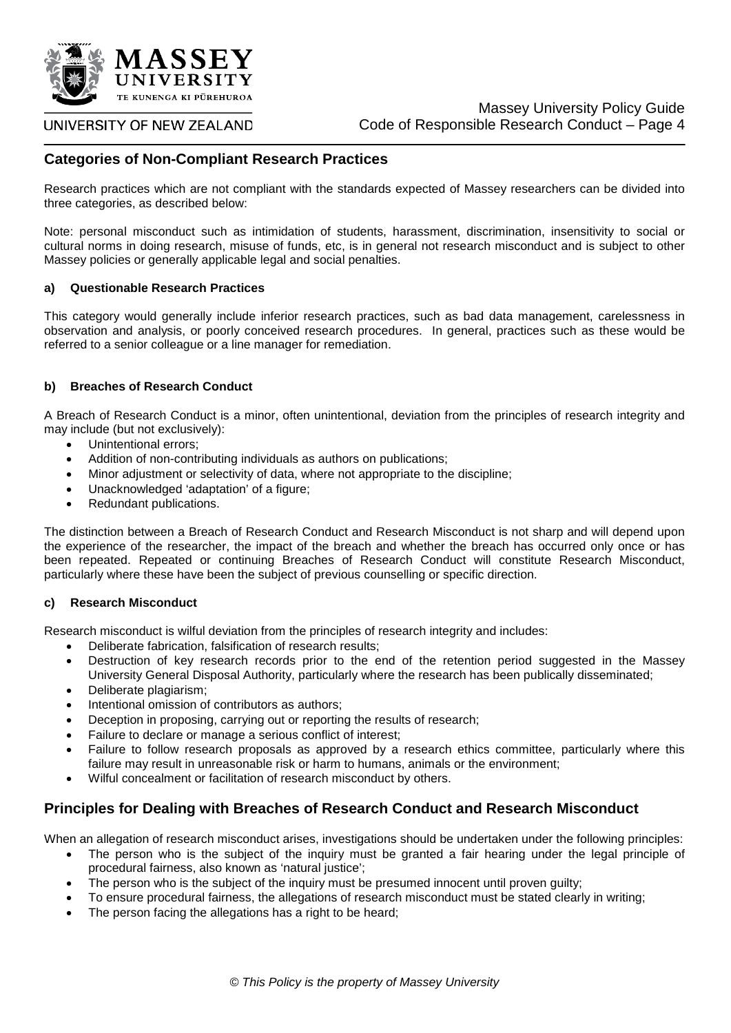

#### UNIVERSITY OF NEW ZEALAND

## **Categories of Non-Compliant Research Practices**

Research practices which are not compliant with the standards expected of Massey researchers can be divided into three categories, as described below:

Note: personal misconduct such as intimidation of students, harassment, discrimination, insensitivity to social or cultural norms in doing research, misuse of funds, etc, is in general not research misconduct and is subject to other Massey policies or generally applicable legal and social penalties.

#### **a) Questionable Research Practices**

This category would generally include inferior research practices, such as bad data management, carelessness in observation and analysis, or poorly conceived research procedures. In general, practices such as these would be referred to a senior colleague or a line manager for remediation.

#### **b) Breaches of Research Conduct**

A Breach of Research Conduct is a minor, often unintentional, deviation from the principles of research integrity and may include (but not exclusively):

- Unintentional errors;
- Addition of non-contributing individuals as authors on publications;
- Minor adjustment or selectivity of data, where not appropriate to the discipline;
- Unacknowledged 'adaptation' of a figure;
- Redundant publications.

The distinction between a Breach of Research Conduct and Research Misconduct is not sharp and will depend upon the experience of the researcher, the impact of the breach and whether the breach has occurred only once or has been repeated. Repeated or continuing Breaches of Research Conduct will constitute Research Misconduct, particularly where these have been the subject of previous counselling or specific direction.

#### **c) Research Misconduct**

Research misconduct is wilful deviation from the principles of research integrity and includes:

- Deliberate fabrication, falsification of research results;
- Destruction of key research records prior to the end of the retention period suggested in the Massey University General Disposal Authority, particularly where the research has been publically disseminated;
- Deliberate plagiarism;
- Intentional omission of contributors as authors;
- Deception in proposing, carrying out or reporting the results of research;
- Failure to declare or manage a serious conflict of interest;
- Failure to follow research proposals as approved by a research ethics committee, particularly where this failure may result in unreasonable risk or harm to humans, animals or the environment;
- Wilful concealment or facilitation of research misconduct by others.

## **Principles for Dealing with Breaches of Research Conduct and Research Misconduct**

When an allegation of research misconduct arises, investigations should be undertaken under the following principles:

- The person who is the subject of the inquiry must be granted a fair hearing under the legal principle of procedural fairness, also known as 'natural justice';
- The person who is the subject of the inquiry must be presumed innocent until proven quilty;
- To ensure procedural fairness, the allegations of research misconduct must be stated clearly in writing;
- The person facing the allegations has a right to be heard;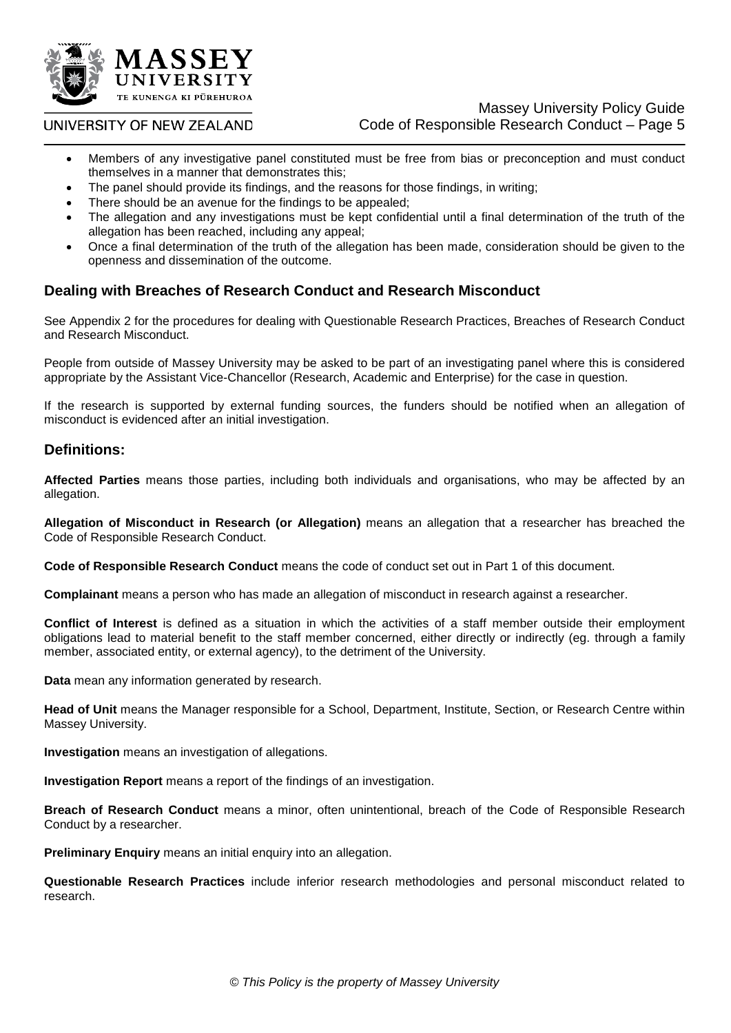

## Massey University Policy Guide Code of Responsible Research Conduct – Page 5

- Members of any investigative panel constituted must be free from bias or preconception and must conduct themselves in a manner that demonstrates this;
- The panel should provide its findings, and the reasons for those findings, in writing;
- There should be an avenue for the findings to be appealed;
- The allegation and any investigations must be kept confidential until a final determination of the truth of the allegation has been reached, including any appeal;
- Once a final determination of the truth of the allegation has been made, consideration should be given to the openness and dissemination of the outcome.

## **Dealing with Breaches of Research Conduct and Research Misconduct**

See Appendix 2 for the procedures for dealing with Questionable Research Practices, Breaches of Research Conduct and Research Misconduct.

People from outside of Massey University may be asked to be part of an investigating panel where this is considered appropriate by the Assistant Vice-Chancellor (Research, Academic and Enterprise) for the case in question.

If the research is supported by external funding sources, the funders should be notified when an allegation of misconduct is evidenced after an initial investigation.

## **Definitions:**

**Affected Parties** means those parties, including both individuals and organisations, who may be affected by an allegation.

**Allegation of Misconduct in Research (or Allegation)** means an allegation that a researcher has breached the Code of Responsible Research Conduct.

Code of Responsible Research Conduct means the code of conduct set out in Part 1 of this document.

**Complainant** means a person who has made an allegation of misconduct in research against a researcher.

**Conflict of Interest** is defined as a situation in which the activities of a staff member outside their employment obligations lead to material benefit to the staff member concerned, either directly or indirectly (eg. through a family member, associated entity, or external agency), to the detriment of the University.

**Data** mean any information generated by research.

**Head of Unit** means the Manager responsible for a School, Department, Institute, Section, or Research Centre within Massey University.

**Investigation** means an investigation of allegations.

**Investigation Report** means a report of the findings of an investigation.

**Breach of Research Conduct** means a minor, often unintentional, breach of the Code of Responsible Research Conduct by a researcher.

**Preliminary Enquiry** means an initial enquiry into an allegation.

**Questionable Research Practices** include inferior research methodologies and personal misconduct related to research.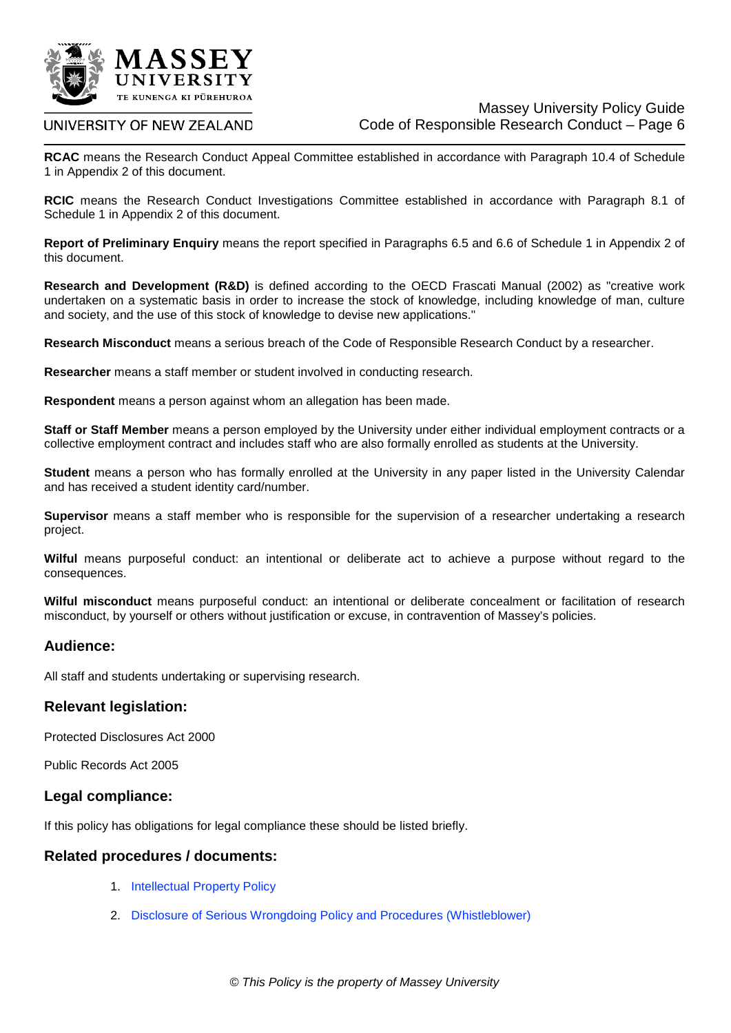

**RCAC** means the Research Conduct Appeal Committee established in accordance with Paragraph 10.4 of Schedule 1 in Appendix 2 of this document.

**RCIC** means the Research Conduct Investigations Committee established in accordance with Paragraph 8.1 of Schedule 1 in Appendix 2 of this document.

**Report of Preliminary Enquiry** means the report specified in Paragraphs 6.5 and 6.6 of Schedule 1 in Appendix 2 of this document.

**Research and Development (R&D)** is defined according to the OECD Frascati Manual (2002) as "creative work undertaken on a systematic basis in order to increase the stock of knowledge, including knowledge of man, culture and society, and the use of this stock of knowledge to devise new applications."

**Research Misconduct** means a serious breach of the Code of Responsible Research Conduct by a researcher.

**Researcher** means a staff member or student involved in conducting research.

**Respondent** means a person against whom an allegation has been made.

**Staff or Staff Member** means a person employed by the University under either individual employment contracts or a collective employment contract and includes staff who are also formally enrolled as students at the University.

**Student** means a person who has formally enrolled at the University in any paper listed in the University Calendar and has received a student identity card/number.

**Supervisor** means a staff member who is responsible for the supervision of a researcher undertaking a research project.

**Wilful** means purposeful conduct: an intentional or deliberate act to achieve a purpose without regard to the consequences.

**Wilful misconduct** means purposeful conduct: an intentional or deliberate concealment or facilitation of research misconduct, by yourself or others without justification or excuse, in contravention of Massey's policies.

#### **Audience:**

All staff and students undertaking or supervising research.

#### **Relevant legislation:**

Protected Disclosures Act 2000

Public Records Act 2005

#### **Legal compliance:**

If this policy has obligations for legal compliance these should be listed briefly.

#### **Related procedures / documents:**

- 1. [Intellectual Property Policy](http://www.massey.ac.nz/massey/fms/PolicyGuide/Documents/Research/Intellectual%20Property%20Policy.pdf)
- 2. [Disclosure of Serious Wrongdoing Policy and Procedures \(Whistleblower\)](http://www.massey.ac.nz/massey/fms/PolicyGuide/Documents/Risk%20Management/Protected%20Disclosure%20Policy.pdf)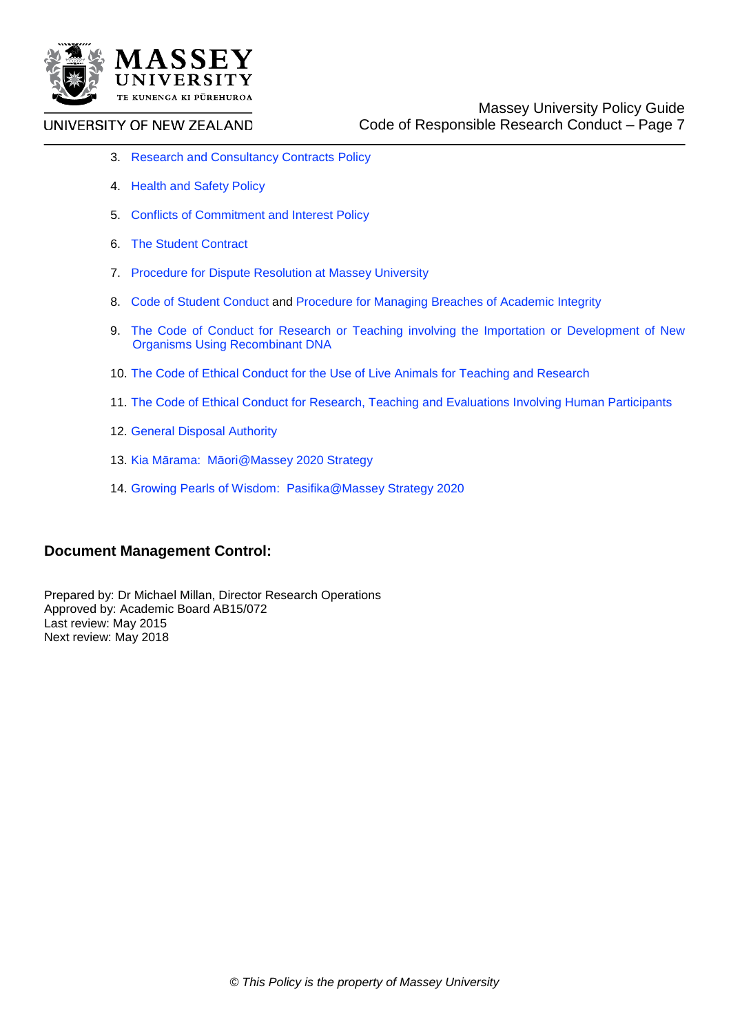

- 3. [Research and Consultancy Contracts Policy](http://www.massey.ac.nz/massey/fms/PolicyGuide/Documents/Research/Research%20and%20Consultancy%20Contracts%20Policy.pdf)
- 4. [Health and Safety Policy](http://www.massey.ac.nz/massey/fms/PolicyGuide/Documents/Health%20and%20Safety/Health%20and%20Safety%20Policy.pdf)
- 5. [Conflicts of Commitment and Interest Policy](http://www.massey.ac.nz/massey/fms/PolicyGuide/Documents/University%20Management/Conflict%20of%20Commitment%20and%20Interest%20Policy.pdf)
- 6. [The Student Contract](http://www.massey.ac.nz/massey/about-massey/calendar/statutes-and-regulations/student-contract.cfm)
- 7. [Procedure for Dispute Resolution at Massey University](http://www.massey.ac.nz/massey/fms/PolicyGuide/Documents/University%20Management/Procedure%20for%20Dispute%20Resolution%20at%20Massey%20University.pdf)
- 8. [Code of Student Conduct](http://www.massey.ac.nz/massey/about-massey/calendar/statutes-and-regulations/code-of-student-conduct.cfm) and [Procedure for Managing Breaches of Academic Integrity](http://www.massey.ac.nz/massey/fms/PolicyGuide/Documents/Academic/Procedure%20for%20Managing%20Breaches%20of%20Academic%20Integrity.pdf)
- 9. [The Code of Conduct for Research or Teaching involving the Importation or Development of New](http://www.massey.ac.nz/massey/research/research-ethics/genetic-technology/code-ethical-conduct.cfm)  [Organisms Using Recombinant DNA](http://www.massey.ac.nz/massey/research/research-ethics/genetic-technology/code-ethical-conduct.cfm)
- 10. [The Code of Ethical Conduct for the Use of Live Animals for Teaching and Research](http://www.massey.ac.nz/massey/research/research-ethics/animal-ethics/code-ethical-conduct.cfm)
- 11. [The Code of Ethical Conduct for Research, Teaching and Evaluations Involving Human Participants](http://www.massey.ac.nz/massey/fms/Human%20Ethics/Documents/MUHEC%20Code%202013.pdf)
- 12. [General Disposal Authority](http://www.massey.ac.nz/massey/fms/Records%20Management/GDA/DA337_GDA_Universities%20(Mar09)%20MU%20title.pdf)
- 13. Kia Mārama: Mā[ori@Massey 2020 Strategy](http://www.massey.ac.nz/massey/fms/About%20Massey/Documents/kia-marama-maori@massey-2013.pdf)
- 14. [Growing Pearls of Wisdom: Pasifika@Massey Strategy 2020](http://www.massey.ac.nz/massey/fms/About%20Massey/Documents/pearls-of-wisdom-pasifika@massey-2013%5b1%5d.pdf)

## **Document Management Control:**

Prepared by: Dr Michael Millan, Director Research Operations Approved by: Academic Board AB15/072 Last review: May 2015 Next review: May 2018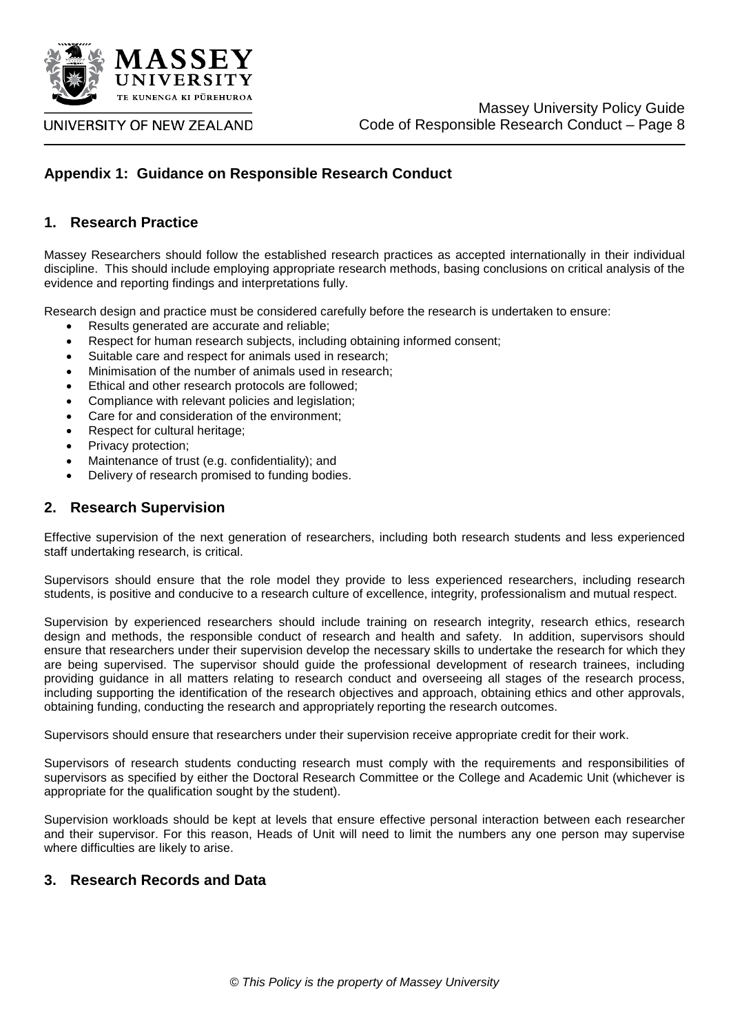

## **Appendix 1: Guidance on Responsible Research Conduct**

#### **1. Research Practice**

Massey Researchers should follow the established research practices as accepted internationally in their individual discipline. This should include employing appropriate research methods, basing conclusions on critical analysis of the evidence and reporting findings and interpretations fully.

Research design and practice must be considered carefully before the research is undertaken to ensure:

- Results generated are accurate and reliable;
- Respect for human research subjects, including obtaining informed consent;
- Suitable care and respect for animals used in research;
- Minimisation of the number of animals used in research;
- Ethical and other research protocols are followed;
- Compliance with relevant policies and legislation;
- Care for and consideration of the environment;
- Respect for cultural heritage;
- Privacy protection;
- Maintenance of trust (e.g. confidentiality); and
- Delivery of research promised to funding bodies.

#### **2. Research Supervision**

Effective supervision of the next generation of researchers, including both research students and less experienced staff undertaking research, is critical.

Supervisors should ensure that the role model they provide to less experienced researchers, including research students, is positive and conducive to a research culture of excellence, integrity, professionalism and mutual respect.

Supervision by experienced researchers should include training on research integrity, research ethics, research design and methods, the responsible conduct of research and health and safety. In addition, supervisors should ensure that researchers under their supervision develop the necessary skills to undertake the research for which they are being supervised. The supervisor should guide the professional development of research trainees, including providing guidance in all matters relating to research conduct and overseeing all stages of the research process, including supporting the identification of the research objectives and approach, obtaining ethics and other approvals, obtaining funding, conducting the research and appropriately reporting the research outcomes.

Supervisors should ensure that researchers under their supervision receive appropriate credit for their work.

Supervisors of research students conducting research must comply with the requirements and responsibilities of supervisors as specified by either the Doctoral Research Committee or the College and Academic Unit (whichever is appropriate for the qualification sought by the student).

Supervision workloads should be kept at levels that ensure effective personal interaction between each researcher and their supervisor. For this reason, Heads of Unit will need to limit the numbers any one person may supervise where difficulties are likely to arise.

### **3. Research Records and Data**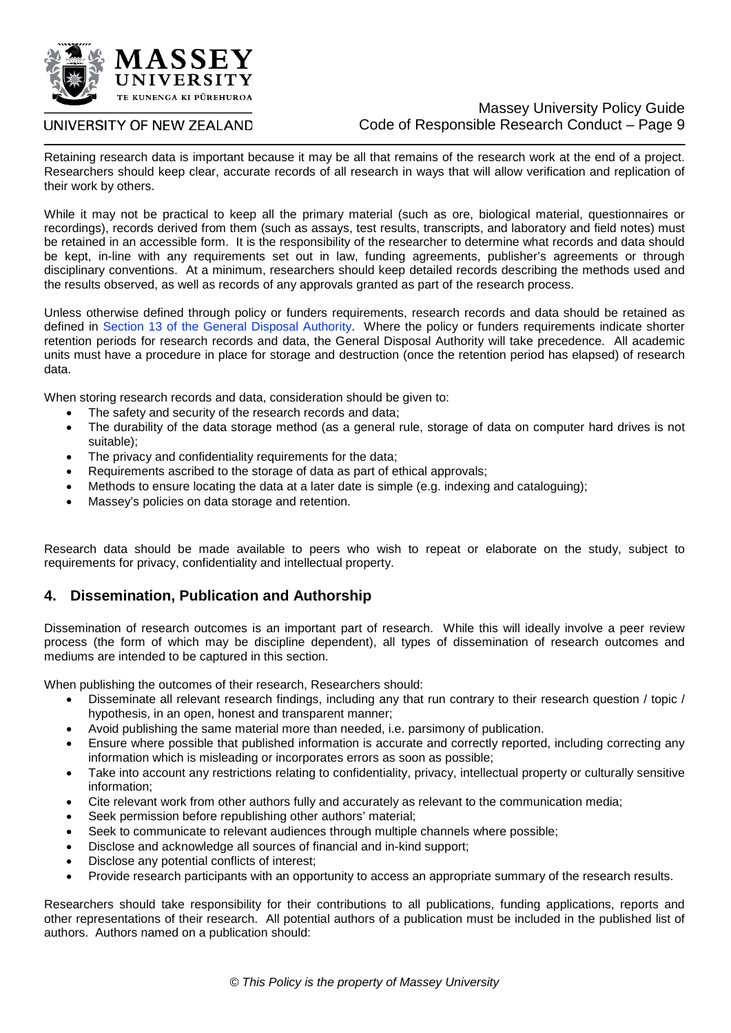

#### UNIVERSITY OF NEW ZEALAND

Retaining research data is important because it may be all that remains of the research work at the end of a project. Researchers should keep clear, accurate records of all research in ways that will allow verification and replication of their work by others.

While it may not be practical to keep all the primary material (such as ore, biological material, questionnaires or recordings), records derived from them (such as assays, test results, transcripts, and laboratory and field notes) must be retained in an accessible form. It is the responsibility of the researcher to determine what records and data should be kept, in-line with any requirements set out in law, funding agreements, publisher's agreements or through disciplinary conventions. At a minimum, researchers should keep detailed records describing the methods used and the results observed, as well as records of any approvals granted as part of the research process.

Unless otherwise defined through policy or funders requirements, research records and data should be retained as defined in [Section 13 of the General Disposal Authority.](http://www.massey.ac.nz/massey/fms/Records%20Management/GDA/DA337_GDA_Universities%20(Mar09)%20MU%20title.pdf) Where the policy or funders requirements indicate shorter retention periods for research records and data, the General Disposal Authority will take precedence. All academic units must have a procedure in place for storage and destruction (once the retention period has elapsed) of research data.

When storing research records and data, consideration should be given to:

- The safety and security of the research records and data;
- The durability of the data storage method (as a general rule, storage of data on computer hard drives is not suitable);
- The privacy and confidentiality requirements for the data;
- Requirements ascribed to the storage of data as part of ethical approvals;
- Methods to ensure locating the data at a later date is simple (e.g. indexing and cataloguing);
- Massey's policies on data storage and retention.

Research data should be made available to peers who wish to repeat or elaborate on the study, subject to requirements for privacy, confidentiality and intellectual property.

## **4. Dissemination, Publication and Authorship**

Dissemination of research outcomes is an important part of research. While this will ideally involve a peer review process (the form of which may be discipline dependent), all types of dissemination of research outcomes and mediums are intended to be captured in this section.

When publishing the outcomes of their research, Researchers should:

- Disseminate all relevant research findings, including any that run contrary to their research question / topic / hypothesis, in an open, honest and transparent manner;
- Avoid publishing the same material more than needed, i.e. parsimony of publication.
- Ensure where possible that published information is accurate and correctly reported, including correcting any information which is misleading or incorporates errors as soon as possible;
- Take into account any restrictions relating to confidentiality, privacy, intellectual property or culturally sensitive information;
- Cite relevant work from other authors fully and accurately as relevant to the communication media;
- Seek permission before republishing other authors' material:
- Seek to communicate to relevant audiences through multiple channels where possible;
- Disclose and acknowledge all sources of financial and in-kind support;
- Disclose any potential conflicts of interest;
- Provide research participants with an opportunity to access an appropriate summary of the research results.

Researchers should take responsibility for their contributions to all publications, funding applications, reports and other representations of their research. All potential authors of a publication must be included in the published list of authors. Authors named on a publication should: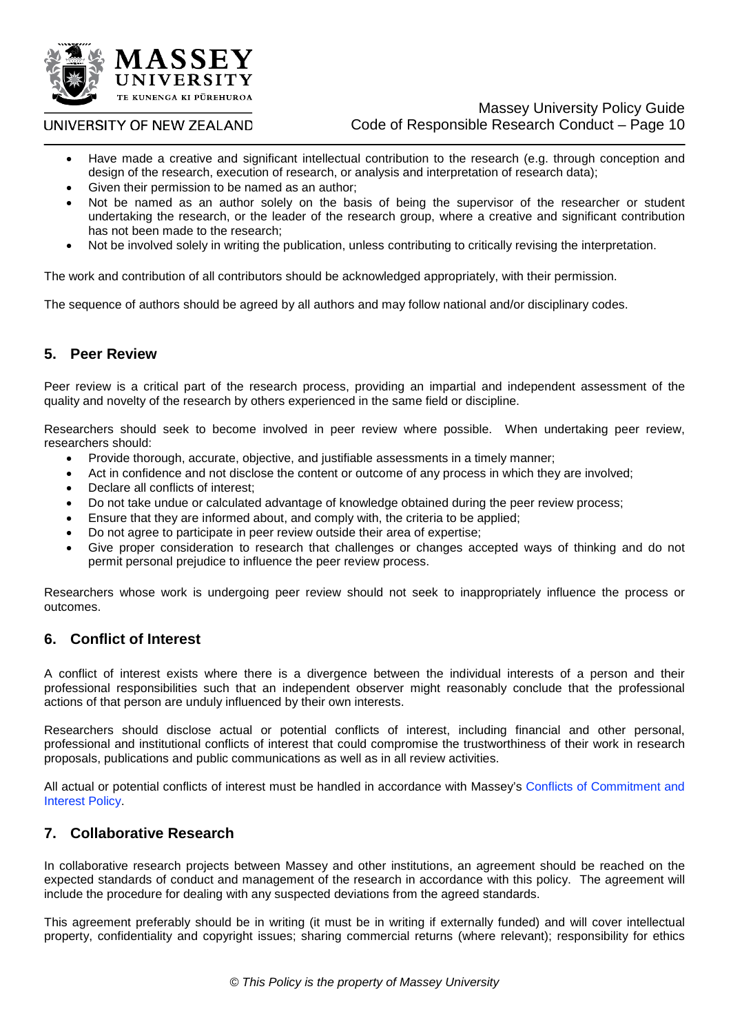

- Have made a creative and significant intellectual contribution to the research (e.g. through conception and design of the research, execution of research, or analysis and interpretation of research data);
- Given their permission to be named as an author;
- Not be named as an author solely on the basis of being the supervisor of the researcher or student undertaking the research, or the leader of the research group, where a creative and significant contribution has not been made to the research;
- Not be involved solely in writing the publication, unless contributing to critically revising the interpretation.

The work and contribution of all contributors should be acknowledged appropriately, with their permission.

The sequence of authors should be agreed by all authors and may follow national and/or disciplinary codes.

## **5. Peer Review**

Peer review is a critical part of the research process, providing an impartial and independent assessment of the quality and novelty of the research by others experienced in the same field or discipline.

Researchers should seek to become involved in peer review where possible. When undertaking peer review, researchers should:

- Provide thorough, accurate, objective, and justifiable assessments in a timely manner;
- Act in confidence and not disclose the content or outcome of any process in which they are involved;
- Declare all conflicts of interest;
- Do not take undue or calculated advantage of knowledge obtained during the peer review process;
- Ensure that they are informed about, and comply with, the criteria to be applied;
- Do not agree to participate in peer review outside their area of expertise;
- Give proper consideration to research that challenges or changes accepted ways of thinking and do not permit personal prejudice to influence the peer review process.

Researchers whose work is undergoing peer review should not seek to inappropriately influence the process or outcomes.

## **6. Conflict of Interest**

A conflict of interest exists where there is a divergence between the individual interests of a person and their professional responsibilities such that an independent observer might reasonably conclude that the professional actions of that person are unduly influenced by their own interests.

Researchers should disclose actual or potential conflicts of interest, including financial and other personal, professional and institutional conflicts of interest that could compromise the trustworthiness of their work in research proposals, publications and public communications as well as in all review activities.

All actual or potential conflicts of interest must be handled in accordance with Massey's [Conflicts of Commitment and](http://www.massey.ac.nz/massey/fms/PolicyGuide/Documents/University%20Management/Conflict%20of%20Commitment%20and%20Interest%20Policy.pdf)  [Interest Policy.](http://www.massey.ac.nz/massey/fms/PolicyGuide/Documents/University%20Management/Conflict%20of%20Commitment%20and%20Interest%20Policy.pdf)

## **7. Collaborative Research**

In collaborative research projects between Massey and other institutions, an agreement should be reached on the expected standards of conduct and management of the research in accordance with this policy. The agreement will include the procedure for dealing with any suspected deviations from the agreed standards.

This agreement preferably should be in writing (it must be in writing if externally funded) and will cover intellectual property, confidentiality and copyright issues; sharing commercial returns (where relevant); responsibility for ethics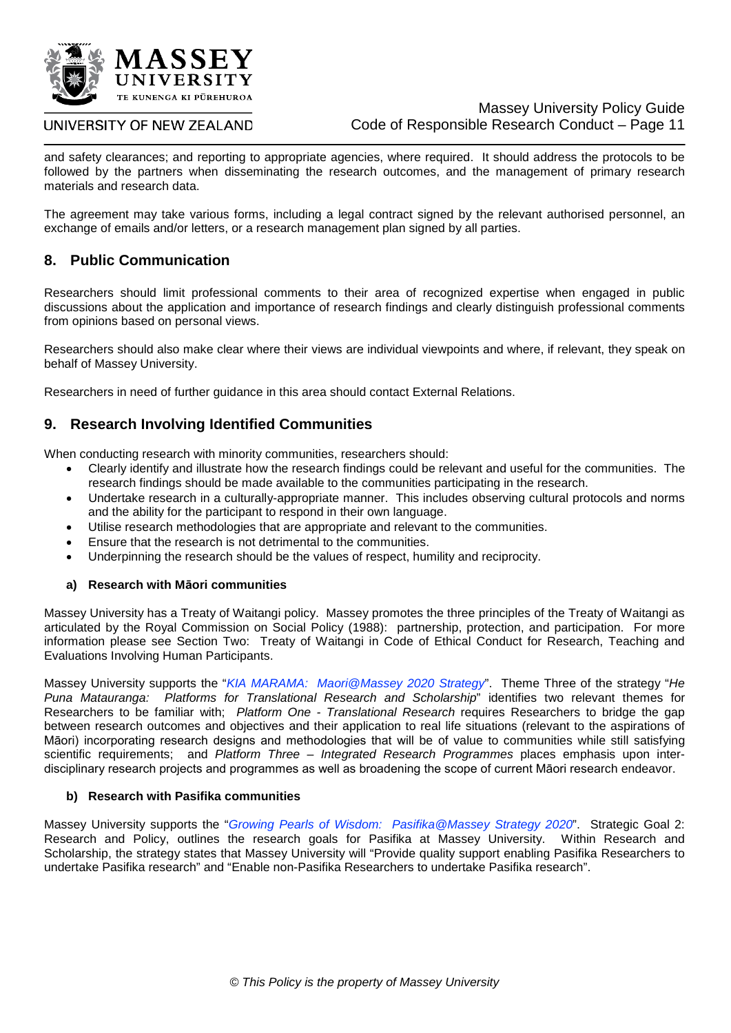

#### Massey University Policy Guide Code of Responsible Research Conduct – Page 11

and safety clearances; and reporting to appropriate agencies, where required. It should address the protocols to be followed by the partners when disseminating the research outcomes, and the management of primary research materials and research data.

The agreement may take various forms, including a legal contract signed by the relevant authorised personnel, an exchange of emails and/or letters, or a research management plan signed by all parties.

## **8. Public Communication**

Researchers should limit professional comments to their area of recognized expertise when engaged in public discussions about the application and importance of research findings and clearly distinguish professional comments from opinions based on personal views.

Researchers should also make clear where their views are individual viewpoints and where, if relevant, they speak on behalf of Massey University.

Researchers in need of further guidance in this area should contact External Relations.

## **9. Research Involving Identified Communities**

When conducting research with minority communities, researchers should:

- Clearly identify and illustrate how the research findings could be relevant and useful for the communities. The research findings should be made available to the communities participating in the research.
- Undertake research in a culturally-appropriate manner. This includes observing cultural protocols and norms and the ability for the participant to respond in their own language.
- Utilise research methodologies that are appropriate and relevant to the communities.
- Ensure that the research is not detrimental to the communities.
- Underpinning the research should be the values of respect, humility and reciprocity.

#### **a) Research with Māori communities**

Massey University has a Treaty of Waitangi policy. Massey promotes the three principles of the Treaty of Waitangi as articulated by the Royal Commission on Social Policy (1988): partnership, protection, and participation. For more information please see Section Two: Treaty of Waitangi in Code of Ethical Conduct for Research, Teaching and Evaluations Involving Human Participants.

Massey University supports the "*[KIA MARAMA: Maori@Massey 2020 Strategy](http://www.massey.ac.nz/massey/fms/About%20Massey/Documents/kia-marama-maori@massey-2013.pdf)*". Theme Three of the strategy "*He Puna Matauranga: Platforms for Translational Research and Scholarship*" identifies two relevant themes for Researchers to be familiar with; *Platform One - Translational Research* requires Researchers to bridge the gap between research outcomes and objectives and their application to real life situations (relevant to the aspirations of Māori) incorporating research designs and methodologies that will be of value to communities while still satisfying scientific requirements; and *Platform Three – Integrated Research Programmes* places emphasis upon interdisciplinary research projects and programmes as well as broadening the scope of current Māori research endeavor.

#### **b) Research with Pasifika communities**

Massey University supports the "*[Growing Pearls of Wisdom: Pasifika@Massey Strategy 2020](http://www.massey.ac.nz/massey/fms/About%20Massey/Documents/pearls-of-wisdom-pasifika@massey-2013%5b1%5d.pdf)*". Strategic Goal 2: Research and Policy, outlines the research goals for Pasifika at Massey University. Within Research and Scholarship, the strategy states that Massey University will "Provide quality support enabling Pasifika Researchers to undertake Pasifika research" and "Enable non-Pasifika Researchers to undertake Pasifika research".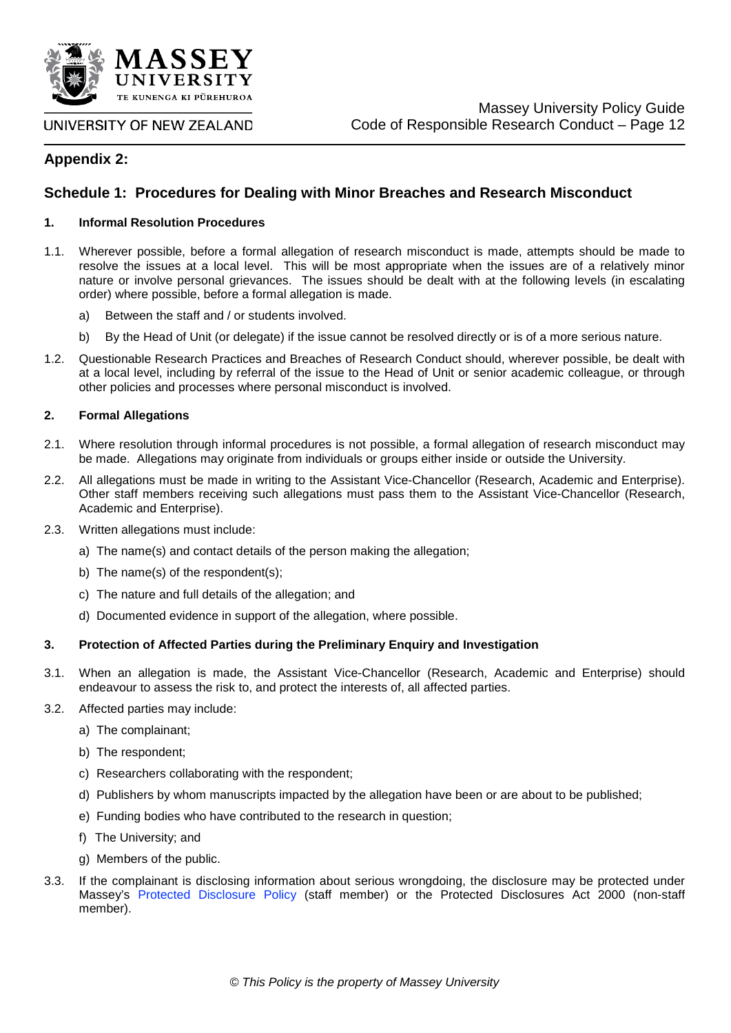

**Appendix 2:** 

## **Schedule 1: Procedures for Dealing with Minor Breaches and Research Misconduct**

#### **1. Informal Resolution Procedures**

- 1.1. Wherever possible, before a formal allegation of research misconduct is made, attempts should be made to resolve the issues at a local level. This will be most appropriate when the issues are of a relatively minor nature or involve personal grievances. The issues should be dealt with at the following levels (in escalating order) where possible, before a formal allegation is made.
	- a) Between the staff and / or students involved.
	- b) By the Head of Unit (or delegate) if the issue cannot be resolved directly or is of a more serious nature.
- 1.2. Questionable Research Practices and Breaches of Research Conduct should, wherever possible, be dealt with at a local level, including by referral of the issue to the Head of Unit or senior academic colleague, or through other policies and processes where personal misconduct is involved.

#### **2. Formal Allegations**

- 2.1. Where resolution through informal procedures is not possible, a formal allegation of research misconduct may be made. Allegations may originate from individuals or groups either inside or outside the University.
- 2.2. All allegations must be made in writing to the Assistant Vice-Chancellor (Research, Academic and Enterprise). Other staff members receiving such allegations must pass them to the Assistant Vice-Chancellor (Research, Academic and Enterprise).
- 2.3. Written allegations must include:
	- a) The name(s) and contact details of the person making the allegation;
	- b) The name(s) of the respondent(s);
	- c) The nature and full details of the allegation; and
	- d) Documented evidence in support of the allegation, where possible.

#### **3. Protection of Affected Parties during the Preliminary Enquiry and Investigation**

- 3.1. When an allegation is made, the Assistant Vice-Chancellor (Research, Academic and Enterprise) should endeavour to assess the risk to, and protect the interests of, all affected parties.
- 3.2. Affected parties may include:
	- a) The complainant;
	- b) The respondent;
	- c) Researchers collaborating with the respondent;
	- d) Publishers by whom manuscripts impacted by the allegation have been or are about to be published;
	- e) Funding bodies who have contributed to the research in question;
	- f) The University; and
	- g) Members of the public.
- 3.3. If the complainant is disclosing information about serious wrongdoing, the disclosure may be protected under Massey's [Protected Disclosure Policy](http://www.massey.ac.nz/massey/fms/PolicyGuide/Documents/Risk%20Management/Protected%20Disclosure%20Policy.pdf) (staff member) or the Protected Disclosures Act 2000 (non-staff member).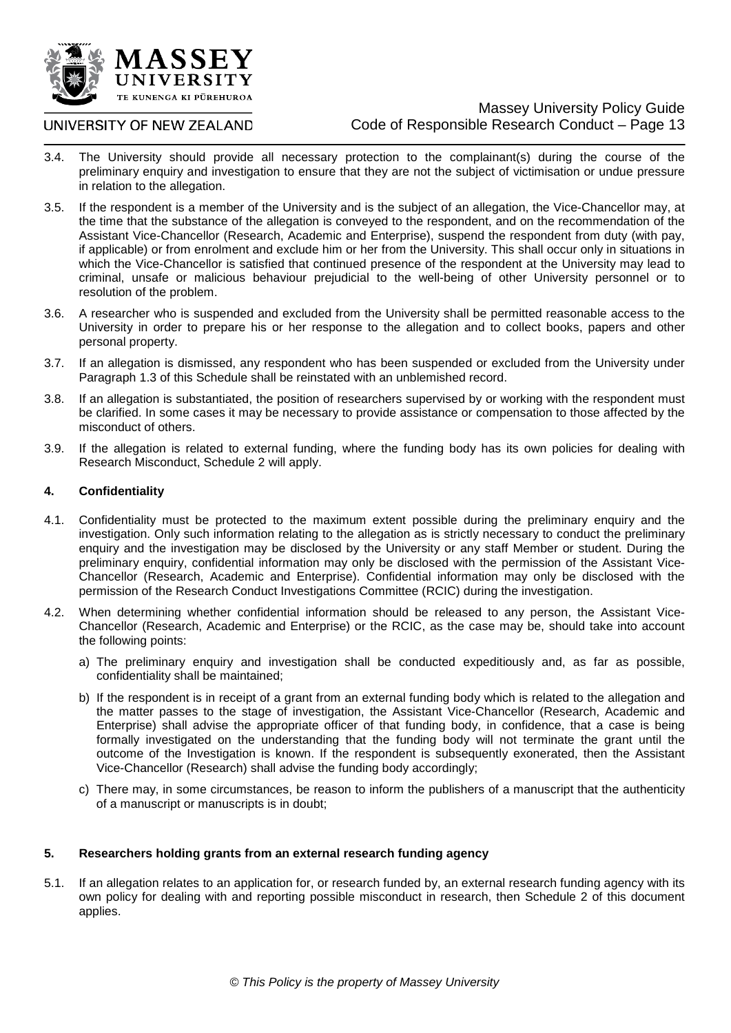

#### UNIVERSITY OF NEW ZEALAND

- 3.4. The University should provide all necessary protection to the complainant(s) during the course of the preliminary enquiry and investigation to ensure that they are not the subject of victimisation or undue pressure in relation to the allegation.
- 3.5. If the respondent is a member of the University and is the subject of an allegation, the Vice-Chancellor may, at the time that the substance of the allegation is conveyed to the respondent, and on the recommendation of the Assistant Vice-Chancellor (Research, Academic and Enterprise), suspend the respondent from duty (with pay, if applicable) or from enrolment and exclude him or her from the University. This shall occur only in situations in which the Vice-Chancellor is satisfied that continued presence of the respondent at the University may lead to criminal, unsafe or malicious behaviour prejudicial to the well-being of other University personnel or to resolution of the problem.
- 3.6. A researcher who is suspended and excluded from the University shall be permitted reasonable access to the University in order to prepare his or her response to the allegation and to collect books, papers and other personal property.
- 3.7. If an allegation is dismissed, any respondent who has been suspended or excluded from the University under Paragraph 1.3 of this Schedule shall be reinstated with an unblemished record.
- 3.8. If an allegation is substantiated, the position of researchers supervised by or working with the respondent must be clarified. In some cases it may be necessary to provide assistance or compensation to those affected by the misconduct of others.
- 3.9. If the allegation is related to external funding, where the funding body has its own policies for dealing with Research Misconduct, Schedule 2 will apply.

#### **4. Confidentiality**

- 4.1. Confidentiality must be protected to the maximum extent possible during the preliminary enquiry and the investigation. Only such information relating to the allegation as is strictly necessary to conduct the preliminary enquiry and the investigation may be disclosed by the University or any staff Member or student. During the preliminary enquiry, confidential information may only be disclosed with the permission of the Assistant Vice-Chancellor (Research, Academic and Enterprise). Confidential information may only be disclosed with the permission of the Research Conduct Investigations Committee (RCIC) during the investigation.
- 4.2. When determining whether confidential information should be released to any person, the Assistant Vice-Chancellor (Research, Academic and Enterprise) or the RCIC, as the case may be, should take into account the following points:
	- a) The preliminary enquiry and investigation shall be conducted expeditiously and, as far as possible, confidentiality shall be maintained;
	- b) If the respondent is in receipt of a grant from an external funding body which is related to the allegation and the matter passes to the stage of investigation, the Assistant Vice-Chancellor (Research, Academic and Enterprise) shall advise the appropriate officer of that funding body, in confidence, that a case is being formally investigated on the understanding that the funding body will not terminate the grant until the outcome of the Investigation is known. If the respondent is subsequently exonerated, then the Assistant Vice-Chancellor (Research) shall advise the funding body accordingly;
	- c) There may, in some circumstances, be reason to inform the publishers of a manuscript that the authenticity of a manuscript or manuscripts is in doubt;

#### **5. Researchers holding grants from an external research funding agency**

5.1. If an allegation relates to an application for, or research funded by, an external research funding agency with its own policy for dealing with and reporting possible misconduct in research, then Schedule 2 of this document applies.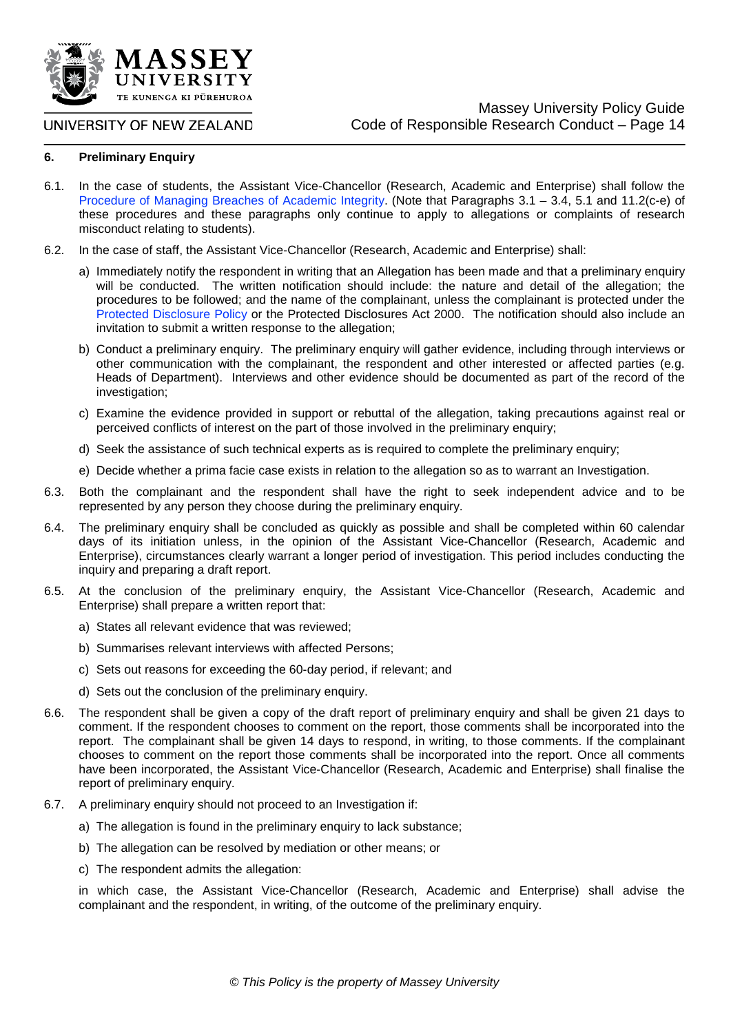

#### **6. Preliminary Enquiry**

- 6.1. In the case of students, the Assistant Vice-Chancellor (Research, Academic and Enterprise) shall follow the [Procedure of Managing Breaches of Academic Integrity.](http://www.massey.ac.nz/massey/fms/PolicyGuide/Documents/Academic/Procedure%20for%20Managing%20Breaches%20of%20Academic%20Integrity.pdf) (Note that Paragraphs 3.1 – 3.4, 5.1 and 11.2(c-e) of these procedures and these paragraphs only continue to apply to allegations or complaints of research misconduct relating to students).
- 6.2. In the case of staff, the Assistant Vice-Chancellor (Research, Academic and Enterprise) shall:
	- a) Immediately notify the respondent in writing that an Allegation has been made and that a preliminary enquiry will be conducted. The written notification should include: the nature and detail of the allegation; the procedures to be followed; and the name of the complainant, unless the complainant is protected under the [Protected Disclosure Policy](http://www.massey.ac.nz/massey/fms/PolicyGuide/Documents/Risk%20Management/Protected%20Disclosure%20Policy.pdf) or the Protected Disclosures Act 2000. The notification should also include an invitation to submit a written response to the allegation;
	- b) Conduct a preliminary enquiry. The preliminary enquiry will gather evidence, including through interviews or other communication with the complainant, the respondent and other interested or affected parties (e.g. Heads of Department). Interviews and other evidence should be documented as part of the record of the investigation;
	- c) Examine the evidence provided in support or rebuttal of the allegation, taking precautions against real or perceived conflicts of interest on the part of those involved in the preliminary enquiry;
	- d) Seek the assistance of such technical experts as is required to complete the preliminary enquiry;
	- e) Decide whether a prima facie case exists in relation to the allegation so as to warrant an Investigation.
- 6.3. Both the complainant and the respondent shall have the right to seek independent advice and to be represented by any person they choose during the preliminary enquiry.
- 6.4. The preliminary enquiry shall be concluded as quickly as possible and shall be completed within 60 calendar days of its initiation unless, in the opinion of the Assistant Vice-Chancellor (Research, Academic and Enterprise), circumstances clearly warrant a longer period of investigation. This period includes conducting the inquiry and preparing a draft report.
- 6.5. At the conclusion of the preliminary enquiry, the Assistant Vice-Chancellor (Research, Academic and Enterprise) shall prepare a written report that:
	- a) States all relevant evidence that was reviewed;
	- b) Summarises relevant interviews with affected Persons;
	- c) Sets out reasons for exceeding the 60-day period, if relevant; and
	- d) Sets out the conclusion of the preliminary enquiry.
- 6.6. The respondent shall be given a copy of the draft report of preliminary enquiry and shall be given 21 days to comment. If the respondent chooses to comment on the report, those comments shall be incorporated into the report. The complainant shall be given 14 days to respond, in writing, to those comments. If the complainant chooses to comment on the report those comments shall be incorporated into the report. Once all comments have been incorporated, the Assistant Vice-Chancellor (Research, Academic and Enterprise) shall finalise the report of preliminary enquiry.
- 6.7. A preliminary enquiry should not proceed to an Investigation if:
	- a) The allegation is found in the preliminary enquiry to lack substance;
	- b) The allegation can be resolved by mediation or other means; or
	- c) The respondent admits the allegation:

in which case, the Assistant Vice-Chancellor (Research, Academic and Enterprise) shall advise the complainant and the respondent, in writing, of the outcome of the preliminary enquiry.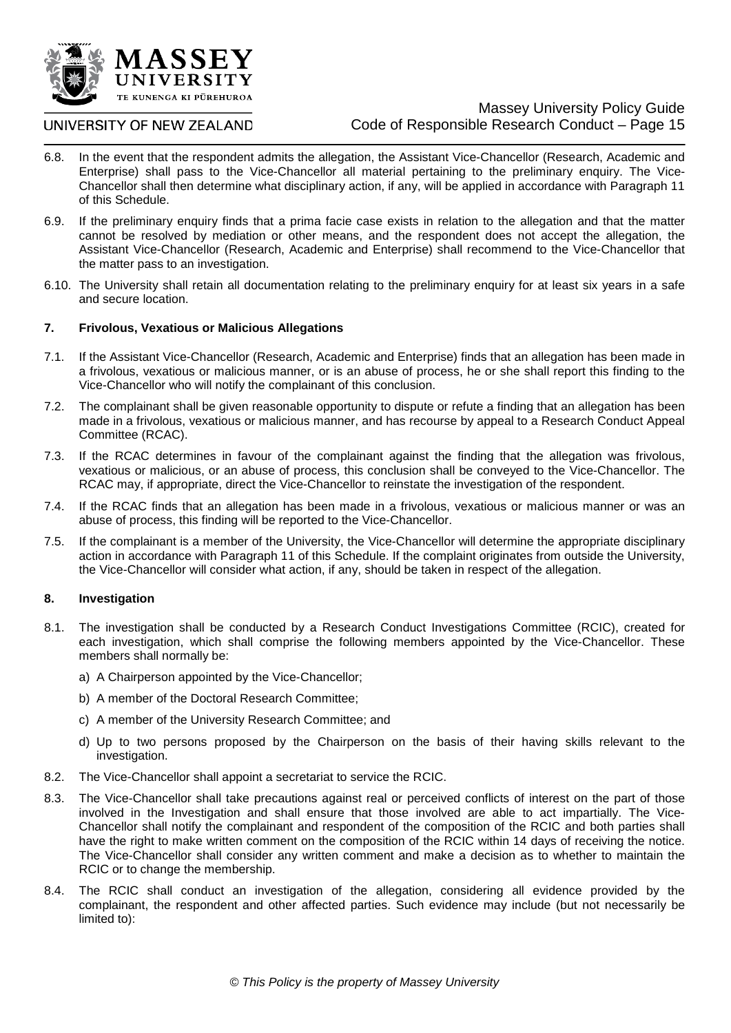

## UNIVERSITY OF NEW ZEALAND

- 6.8. In the event that the respondent admits the allegation, the Assistant Vice-Chancellor (Research, Academic and Enterprise) shall pass to the Vice-Chancellor all material pertaining to the preliminary enquiry. The Vice-Chancellor shall then determine what disciplinary action, if any, will be applied in accordance with Paragraph 11 of this Schedule.
- 6.9. If the preliminary enquiry finds that a prima facie case exists in relation to the allegation and that the matter cannot be resolved by mediation or other means, and the respondent does not accept the allegation, the Assistant Vice-Chancellor (Research, Academic and Enterprise) shall recommend to the Vice-Chancellor that the matter pass to an investigation.
- 6.10. The University shall retain all documentation relating to the preliminary enquiry for at least six years in a safe and secure location.

#### **7. Frivolous, Vexatious or Malicious Allegations**

- 7.1. If the Assistant Vice-Chancellor (Research, Academic and Enterprise) finds that an allegation has been made in a frivolous, vexatious or malicious manner, or is an abuse of process, he or she shall report this finding to the Vice-Chancellor who will notify the complainant of this conclusion.
- 7.2. The complainant shall be given reasonable opportunity to dispute or refute a finding that an allegation has been made in a frivolous, vexatious or malicious manner, and has recourse by appeal to a Research Conduct Appeal Committee (RCAC).
- 7.3. If the RCAC determines in favour of the complainant against the finding that the allegation was frivolous, vexatious or malicious, or an abuse of process, this conclusion shall be conveyed to the Vice-Chancellor. The RCAC may, if appropriate, direct the Vice-Chancellor to reinstate the investigation of the respondent.
- 7.4. If the RCAC finds that an allegation has been made in a frivolous, vexatious or malicious manner or was an abuse of process, this finding will be reported to the Vice-Chancellor.
- 7.5. If the complainant is a member of the University, the Vice-Chancellor will determine the appropriate disciplinary action in accordance with Paragraph 11 of this Schedule. If the complaint originates from outside the University, the Vice-Chancellor will consider what action, if any, should be taken in respect of the allegation.

#### **8. Investigation**

- 8.1. The investigation shall be conducted by a Research Conduct Investigations Committee (RCIC), created for each investigation, which shall comprise the following members appointed by the Vice-Chancellor. These members shall normally be:
	- a) A Chairperson appointed by the Vice-Chancellor;
	- b) A member of the Doctoral Research Committee;
	- c) A member of the University Research Committee; and
	- d) Up to two persons proposed by the Chairperson on the basis of their having skills relevant to the investigation.
- 8.2. The Vice-Chancellor shall appoint a secretariat to service the RCIC.
- 8.3. The Vice-Chancellor shall take precautions against real or perceived conflicts of interest on the part of those involved in the Investigation and shall ensure that those involved are able to act impartially. The Vice-Chancellor shall notify the complainant and respondent of the composition of the RCIC and both parties shall have the right to make written comment on the composition of the RCIC within 14 days of receiving the notice. The Vice-Chancellor shall consider any written comment and make a decision as to whether to maintain the RCIC or to change the membership.
- 8.4. The RCIC shall conduct an investigation of the allegation, considering all evidence provided by the complainant, the respondent and other affected parties. Such evidence may include (but not necessarily be limited to):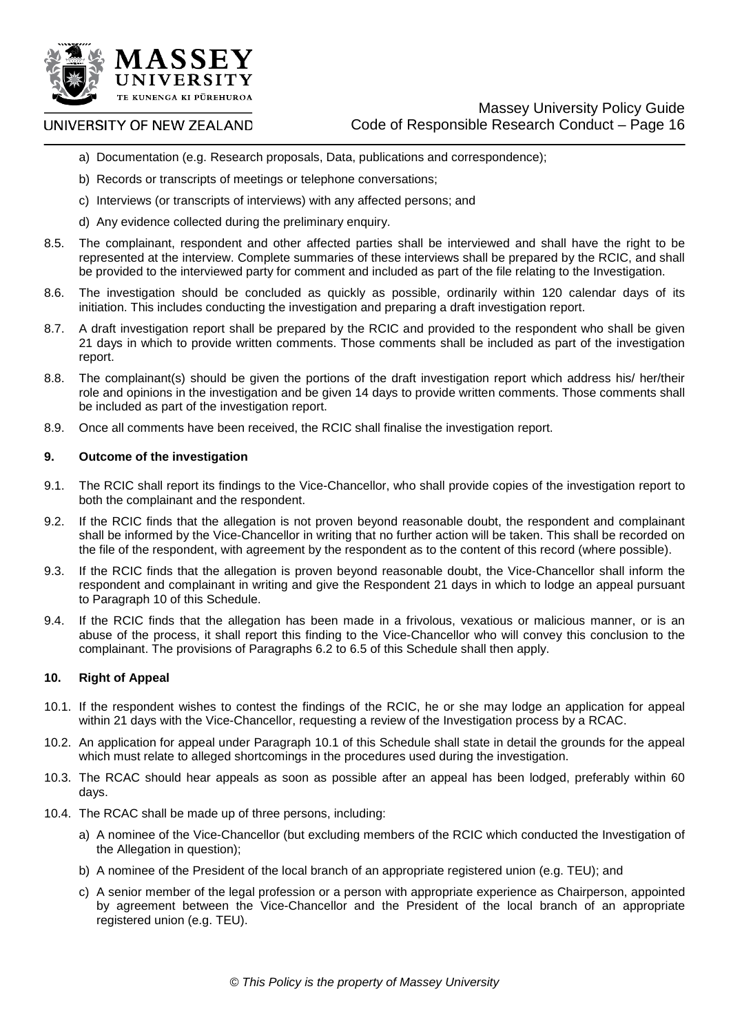

- a) Documentation (e.g. Research proposals, Data, publications and correspondence);
- b) Records or transcripts of meetings or telephone conversations;
- c) Interviews (or transcripts of interviews) with any affected persons; and
- d) Any evidence collected during the preliminary enquiry.
- 8.5. The complainant, respondent and other affected parties shall be interviewed and shall have the right to be represented at the interview. Complete summaries of these interviews shall be prepared by the RCIC, and shall be provided to the interviewed party for comment and included as part of the file relating to the Investigation.
- 8.6. The investigation should be concluded as quickly as possible, ordinarily within 120 calendar days of its initiation. This includes conducting the investigation and preparing a draft investigation report.
- 8.7. A draft investigation report shall be prepared by the RCIC and provided to the respondent who shall be given 21 days in which to provide written comments. Those comments shall be included as part of the investigation report.
- 8.8. The complainant(s) should be given the portions of the draft investigation report which address his/ her/their role and opinions in the investigation and be given 14 days to provide written comments. Those comments shall be included as part of the investigation report.
- 8.9. Once all comments have been received, the RCIC shall finalise the investigation report.

#### **9. Outcome of the investigation**

- 9.1. The RCIC shall report its findings to the Vice-Chancellor, who shall provide copies of the investigation report to both the complainant and the respondent.
- 9.2. If the RCIC finds that the allegation is not proven beyond reasonable doubt, the respondent and complainant shall be informed by the Vice-Chancellor in writing that no further action will be taken. This shall be recorded on the file of the respondent, with agreement by the respondent as to the content of this record (where possible).
- 9.3. If the RCIC finds that the allegation is proven beyond reasonable doubt, the Vice-Chancellor shall inform the respondent and complainant in writing and give the Respondent 21 days in which to lodge an appeal pursuant to Paragraph 10 of this Schedule.
- 9.4. If the RCIC finds that the allegation has been made in a frivolous, vexatious or malicious manner, or is an abuse of the process, it shall report this finding to the Vice-Chancellor who will convey this conclusion to the complainant. The provisions of Paragraphs 6.2 to 6.5 of this Schedule shall then apply.

#### **10. Right of Appeal**

- 10.1. If the respondent wishes to contest the findings of the RCIC, he or she may lodge an application for appeal within 21 days with the Vice-Chancellor, requesting a review of the Investigation process by a RCAC.
- 10.2. An application for appeal under Paragraph 10.1 of this Schedule shall state in detail the grounds for the appeal which must relate to alleged shortcomings in the procedures used during the investigation.
- 10.3. The RCAC should hear appeals as soon as possible after an appeal has been lodged, preferably within 60 days.
- 10.4. The RCAC shall be made up of three persons, including:
	- a) A nominee of the Vice-Chancellor (but excluding members of the RCIC which conducted the Investigation of the Allegation in question);
	- b) A nominee of the President of the local branch of an appropriate registered union (e.g. TEU); and
	- c) A senior member of the legal profession or a person with appropriate experience as Chairperson, appointed by agreement between the Vice-Chancellor and the President of the local branch of an appropriate registered union (e.g. TEU).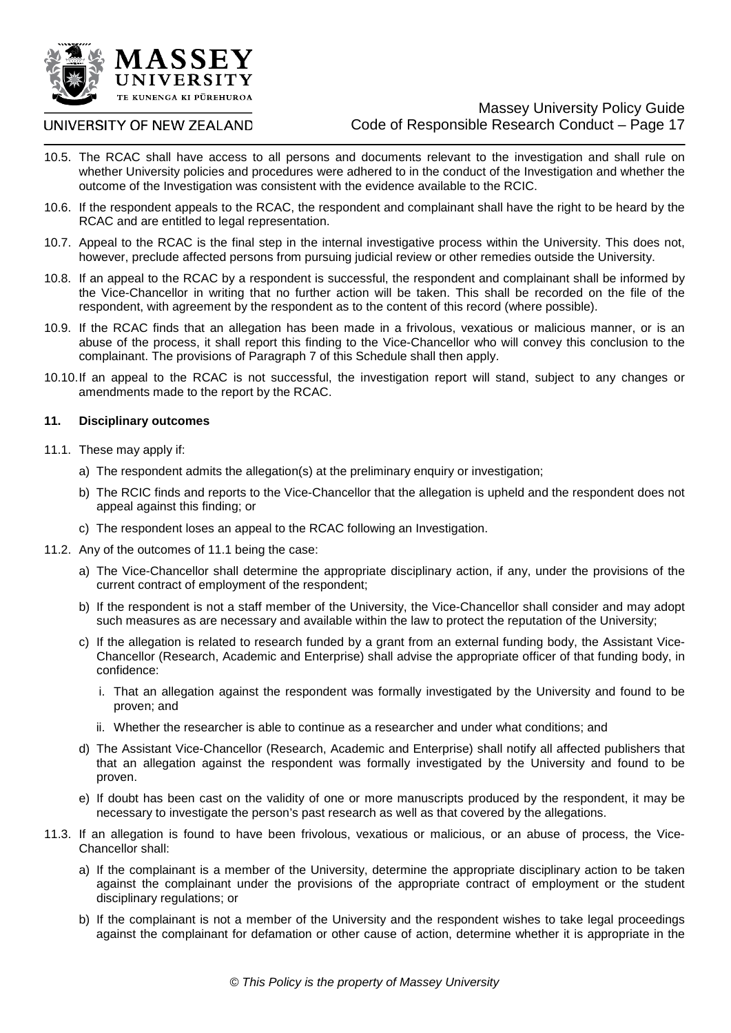

#### UNIVERSITY OF NEW ZEALAND

- 10.5. The RCAC shall have access to all persons and documents relevant to the investigation and shall rule on whether University policies and procedures were adhered to in the conduct of the Investigation and whether the outcome of the Investigation was consistent with the evidence available to the RCIC.
- 10.6. If the respondent appeals to the RCAC, the respondent and complainant shall have the right to be heard by the RCAC and are entitled to legal representation.
- 10.7. Appeal to the RCAC is the final step in the internal investigative process within the University. This does not, however, preclude affected persons from pursuing judicial review or other remedies outside the University.
- 10.8. If an appeal to the RCAC by a respondent is successful, the respondent and complainant shall be informed by the Vice-Chancellor in writing that no further action will be taken. This shall be recorded on the file of the respondent, with agreement by the respondent as to the content of this record (where possible).
- 10.9. If the RCAC finds that an allegation has been made in a frivolous, vexatious or malicious manner, or is an abuse of the process, it shall report this finding to the Vice-Chancellor who will convey this conclusion to the complainant. The provisions of Paragraph 7 of this Schedule shall then apply.
- 10.10.If an appeal to the RCAC is not successful, the investigation report will stand, subject to any changes or amendments made to the report by the RCAC.

#### **11. Disciplinary outcomes**

- 11.1. These may apply if:
	- a) The respondent admits the allegation(s) at the preliminary enquiry or investigation;
	- b) The RCIC finds and reports to the Vice-Chancellor that the allegation is upheld and the respondent does not appeal against this finding; or
	- c) The respondent loses an appeal to the RCAC following an Investigation.
- 11.2. Any of the outcomes of 11.1 being the case:
	- a) The Vice-Chancellor shall determine the appropriate disciplinary action, if any, under the provisions of the current contract of employment of the respondent;
	- b) If the respondent is not a staff member of the University, the Vice-Chancellor shall consider and may adopt such measures as are necessary and available within the law to protect the reputation of the University;
	- c) If the allegation is related to research funded by a grant from an external funding body, the Assistant Vice-Chancellor (Research, Academic and Enterprise) shall advise the appropriate officer of that funding body, in confidence:
		- i. That an allegation against the respondent was formally investigated by the University and found to be proven; and
		- ii. Whether the researcher is able to continue as a researcher and under what conditions; and
	- d) The Assistant Vice-Chancellor (Research, Academic and Enterprise) shall notify all affected publishers that that an allegation against the respondent was formally investigated by the University and found to be proven.
	- e) If doubt has been cast on the validity of one or more manuscripts produced by the respondent, it may be necessary to investigate the person's past research as well as that covered by the allegations.
- 11.3. If an allegation is found to have been frivolous, vexatious or malicious, or an abuse of process, the Vice-Chancellor shall:
	- a) If the complainant is a member of the University, determine the appropriate disciplinary action to be taken against the complainant under the provisions of the appropriate contract of employment or the student disciplinary regulations; or
	- b) If the complainant is not a member of the University and the respondent wishes to take legal proceedings against the complainant for defamation or other cause of action, determine whether it is appropriate in the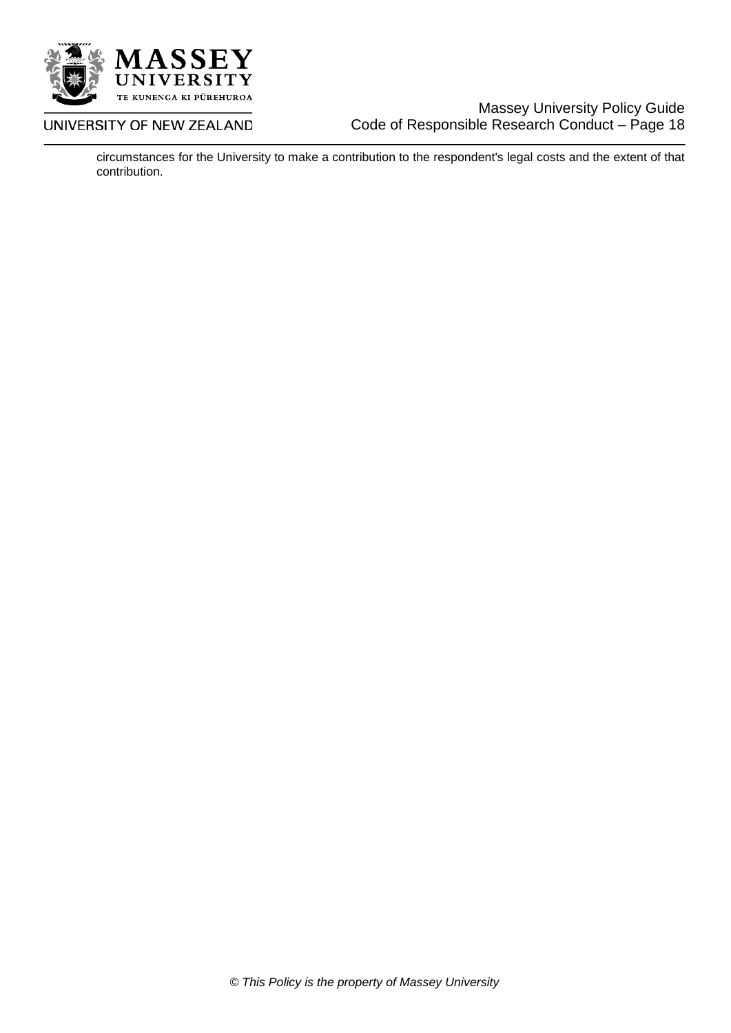

## Massey University Policy Guide Code of Responsible Research Conduct – Page 18

circumstances for the University to make a contribution to the respondent's legal costs and the extent of that contribution.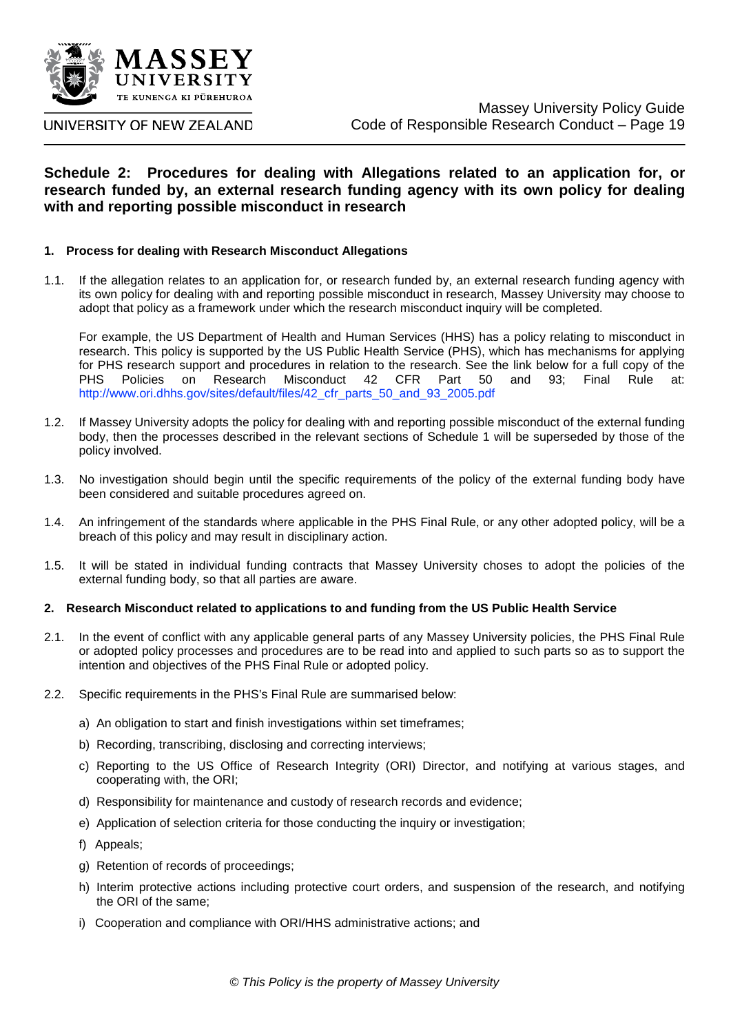

## **Schedule 2: Procedures for dealing with Allegations related to an application for, or research funded by, an external research funding agency with its own policy for dealing with and reporting possible misconduct in research**

#### **1. Process for dealing with Research Misconduct Allegations**

1.1. If the allegation relates to an application for, or research funded by, an external research funding agency with its own policy for dealing with and reporting possible misconduct in research, Massey University may choose to adopt that policy as a framework under which the research misconduct inquiry will be completed.

For example, the US Department of Health and Human Services (HHS) has a policy relating to misconduct in research. This policy is supported by the US Public Health Service (PHS), which has mechanisms for applying for PHS research support and procedures in relation to the research. See the link below for a full copy of the PHS Policies on Research Misconduct 42 CFR Part 50 and 93; Final Rule at: [http://www.ori.dhhs.gov/sites/default/files/42\\_cfr\\_parts\\_50\\_and\\_93\\_2005.pdf](http://www.ori.dhhs.gov/sites/default/files/42_cfr_parts_50_and_93_2005.pdf)

- 1.2. If Massey University adopts the policy for dealing with and reporting possible misconduct of the external funding body, then the processes described in the relevant sections of Schedule 1 will be superseded by those of the policy involved.
- 1.3. No investigation should begin until the specific requirements of the policy of the external funding body have been considered and suitable procedures agreed on.
- 1.4. An infringement of the standards where applicable in the PHS Final Rule, or any other adopted policy, will be a breach of this policy and may result in disciplinary action.
- 1.5. It will be stated in individual funding contracts that Massey University choses to adopt the policies of the external funding body, so that all parties are aware.

#### **2. Research Misconduct related to applications to and funding from the US Public Health Service**

- 2.1. In the event of conflict with any applicable general parts of any Massey University policies, the PHS Final Rule or adopted policy processes and procedures are to be read into and applied to such parts so as to support the intention and objectives of the PHS Final Rule or adopted policy.
- 2.2. Specific requirements in the PHS's Final Rule are summarised below:
	- a) An obligation to start and finish investigations within set timeframes;
	- b) Recording, transcribing, disclosing and correcting interviews;
	- c) Reporting to the US Office of Research Integrity (ORI) Director, and notifying at various stages, and cooperating with, the ORI;
	- d) Responsibility for maintenance and custody of research records and evidence;
	- e) Application of selection criteria for those conducting the inquiry or investigation;
	- f) Appeals;
	- g) Retention of records of proceedings;
	- h) Interim protective actions including protective court orders, and suspension of the research, and notifying the ORI of the same;
	- i) Cooperation and compliance with ORI/HHS administrative actions; and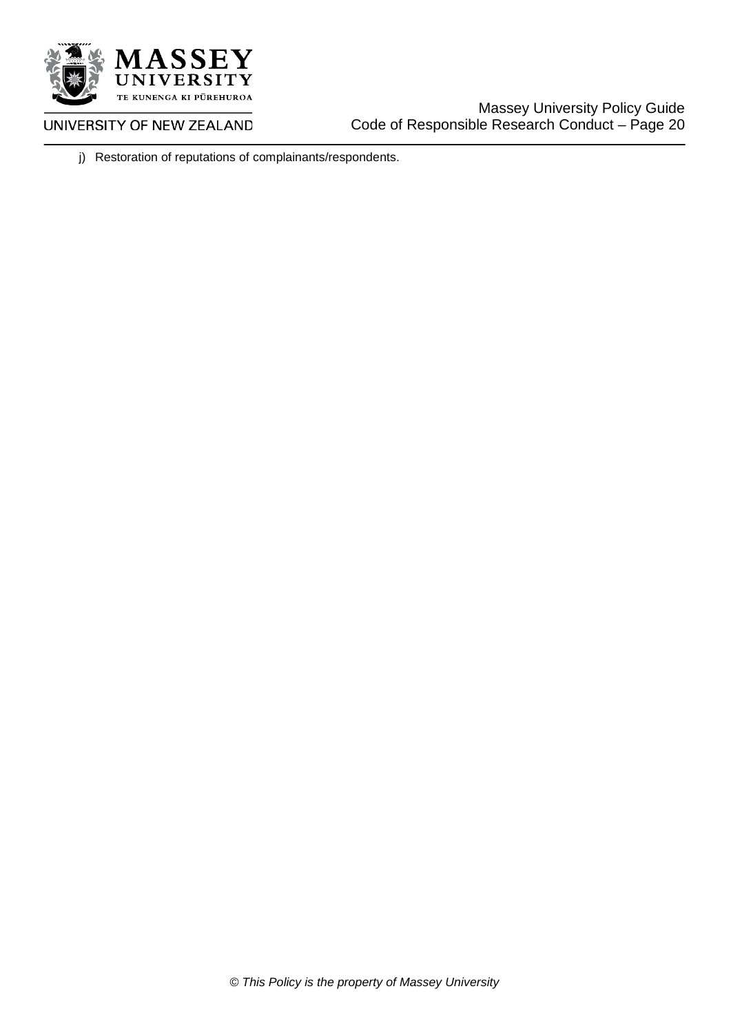

UNIVERSITY OF NEW ZEALAND

j) Restoration of reputations of complainants/respondents.